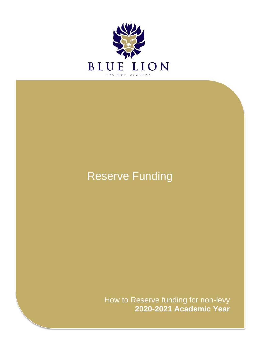

# Reserve Funding

How to Reserve funding for non-levy **2020-2021 Academic Year**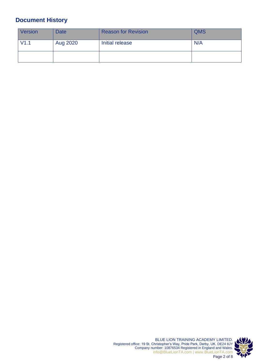## <span id="page-1-0"></span>**Document History**

| <b>Version</b> | <b>Date</b> | <b>Reason for Revision</b> | <b>QMS</b> |
|----------------|-------------|----------------------------|------------|
| V1.1           | Aug 2020    | Initial release            | N/A        |
|                |             |                            |            |

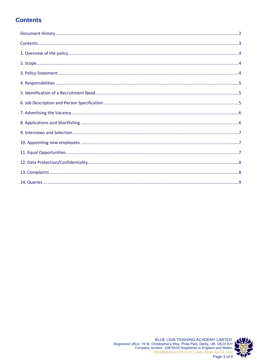## <span id="page-2-0"></span>**Contents**

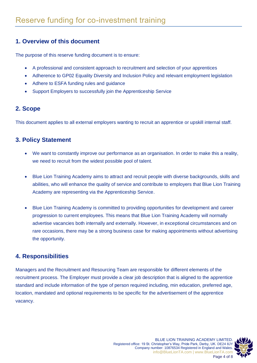## <span id="page-3-0"></span>**1. Overview of this document**

The purpose of this reserve funding document is to ensure:

- A professional and consistent approach to recruitment and selection of your apprentices
- Adherence to GP02 Equality Diversity and Inclusion Policy and relevant employment legislation
- Adhere to ESFA funding rules and guidance
- Support Employers to successfully join the Apprenticeship Service

## **2. Scope**

This document applies to all external employers wanting to recruit an apprentice or upskill internal staff.

## **3. Policy Statement**

- We want to constantly improve our performance as an organisation. In order to make this a reality, we need to recruit from the widest possible pool of talent.
- Blue Lion Training Academy aims to attract and recruit people with diverse backgrounds, skills and abilities, who will enhance the quality of service and contribute to employers that Blue Lion Training Academy are representing via the Apprenticeship Service.
- Blue Lion Training Academy is committed to providing opportunities for development and career progression to current employees. This means that Blue Lion Training Academy will normally advertise vacancies both internally and externally. However, in exceptional circumstances and on rare occasions, there may be a strong business case for making appointments without advertising the opportunity.

## **4. Responsibilities**

Managers and the Recruitment and Resourcing Team are responsible for different elements of the recruitment process. The Employer must provide a clear job description that is aligned to the apprentice standard and include information of the type of person required including, min education, preferred age, location, mandated and optional requirements to be specific for the advertisement of the apprentice vacancy.



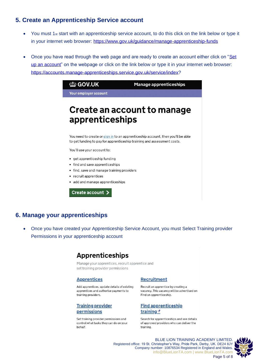### 5. Create an Apprenticeship Service account

- You must  $1_{st}$  start with an apprenticeship service account, to do this click on the link below or type it in your internet web browser: https://www.gov.uk/guidance/manage-apprenticeship-funds
- Once you have read through the web page and are ready to create an account either click on "Set up an account" on the webpage or click on the link below or type it in your internet web browser: https://accounts.manage-apprenticeships.service.gov.uk/service/index?

| <b>む GOV.UK</b>       | <b>Manage apprenticeships</b> |
|-----------------------|-------------------------------|
| Your employer account |                               |

## **Create an account to manage** apprenticeships

You need to create or sign in to an apprenticeship account, then you'll be able to get funding to pay for apprenticeship training and assessment costs.

You'll use your account to:

- get apprenticeship funding
- find and save apprenticeships
- find, save and manage training providers
- recruit apprentices
- add and manage apprenticeships

Create account >

### 6. Manage your apprenticeships

Once you have created your Apprenticeship Service Account, you must Select Training provider Permissions in your apprenticeship account

## **Apprenticeships**

Manage your apprentices, recruit apprentice and set training provider permissions

#### **Apprentices**

Add apprentices, update details of existing apprentices and authorise payments to training providers.

#### **Training provider** permissions

Set training provider permissions and control what tasks they can do on your behalf.

#### **Recruitment**

Recruit an apprentice by creating a vacancy. This vacancy will be advertised on Find an apprenticeship.

#### **Find apprenticeship** training<sup>d</sup>

Search for apprenticeships and see details of approved providers who can deliver the training.

BLUE LION TRAINING ACADEMY LIMITED. Registered office: 19 St. Christopher's Way, Pride Park, Derby, UK. DE24 8JY Company number: 10876534 Registered in England and Wales. info@BlueLionTA.com | www.BlueLionTA.com Page 5 of 8

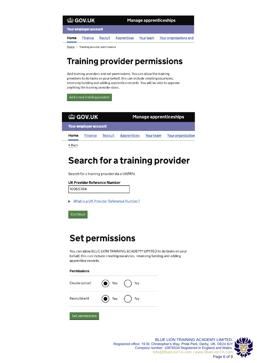| <b><i>dia</i></b> GOV.UK |         |                        | <b>Manage apprenticeships</b> |                        |  |
|--------------------------|---------|------------------------|-------------------------------|------------------------|--|
| Your employer account    |         |                        |                               |                        |  |
| Home                     | Finance | Apprentices<br>Recruit | Your team                     | Your organisations and |  |

 $Home$  > Training provider permissions

## **Training provider permissions**

Add training providers and set permissions. You can allow the training providers to do tasks on your behalf, this can include creating vacancies, reserving funding and adding apprentice records. You will be able to approve anything the training provider does.

Add a new training provider

| <b>む GOV.UK</b> |                       | <b>Manage apprenticeships</b> |  |  |                                                 |
|-----------------|-----------------------|-------------------------------|--|--|-------------------------------------------------|
|                 | Your employer account |                               |  |  |                                                 |
| Home            | Finance               |                               |  |  | Recruit Apprentices Your team Your organisation |
| ◀ Back          |                       |                               |  |  |                                                 |

# Search for a training provider

Search for a training provider via a UKPRN.

#### **UK Provider Reference Number**

10065784

Mhat is a UK Provider Reference Number?

Continue

## **Set permissions**

You can allow BLUE LION TRAINING ACADEMY LIMITED to do tasks on your behalf, this can include creating vacancies, reserving funding and adding apprentice records.

#### **Permissions**



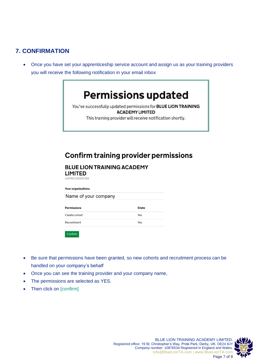## **7. CONFIRMATION**

• Once you have set your apprenticeship service account and assign us as your training providers you will receive the following notification in your email inbox

# **Permissions updated**

You've successfully updated permissions for BLUE LION TRAINING **ACADEMY LIMITED** 

This training provider will receive notification shortly.

## **Confirm training provider permissions**

### **BLUE LION TRAINING ACADEMY**

**LIMITED** UKPRN 10065784

**Your organisations** 

Name of your company

| <b>Permissions</b> | <b>State</b> |
|--------------------|--------------|
| Create cohort      | Yes          |
| Recruitment        | Yes          |

Confirm

- Be sure that permissions have been granted, so new cohorts and recruitment process can be handled on your company's behalf
- Once you can see the training provider and your company name,
- The permissions are selected as YES.
- Then click on [confirm]